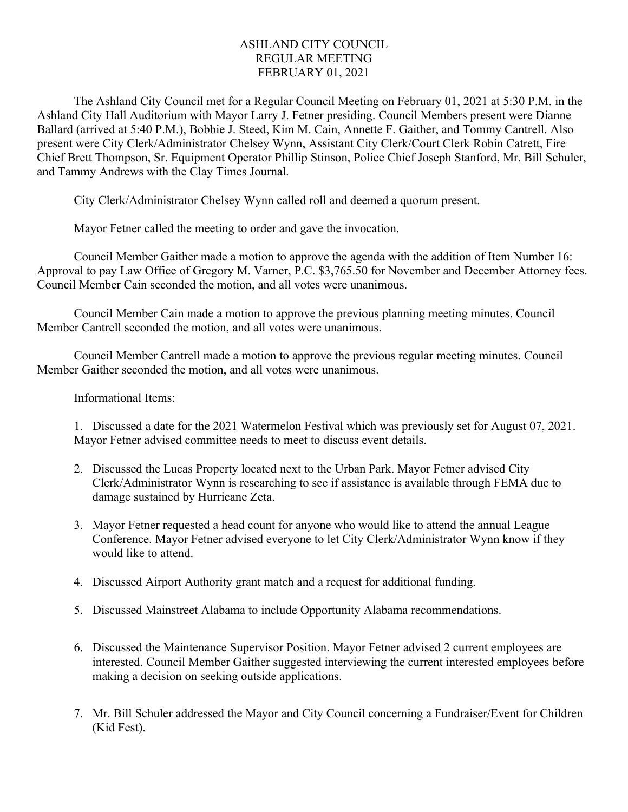## ASHLAND CITY COUNCIL REGULAR MEETING FEBRUARY 01, 2021

The Ashland City Council met for a Regular Council Meeting on February 01, 2021 at 5:30 P.M. in the Ashland City Hall Auditorium with Mayor Larry J. Fetner presiding. Council Members present were Dianne Ballard (arrived at 5:40 P.M.), Bobbie J. Steed, Kim M. Cain, Annette F. Gaither, and Tommy Cantrell. Also present were City Clerk/Administrator Chelsey Wynn, Assistant City Clerk/Court Clerk Robin Catrett, Fire Chief Brett Thompson, Sr. Equipment Operator Phillip Stinson, Police Chief Joseph Stanford, Mr. Bill Schuler, and Tammy Andrews with the Clay Times Journal.

City Clerk/Administrator Chelsey Wynn called roll and deemed a quorum present.

Mayor Fetner called the meeting to order and gave the invocation.

Council Member Gaither made a motion to approve the agenda with the addition of Item Number 16: Approval to pay Law Office of Gregory M. Varner, P.C. \$3,765.50 for November and December Attorney fees. Council Member Cain seconded the motion, and all votes were unanimous.

Council Member Cain made a motion to approve the previous planning meeting minutes. Council Member Cantrell seconded the motion, and all votes were unanimous.

Council Member Cantrell made a motion to approve the previous regular meeting minutes. Council Member Gaither seconded the motion, and all votes were unanimous.

Informational Items:

1. Discussed a date for the 2021 Watermelon Festival which was previously set for August 07, 2021. Mayor Fetner advised committee needs to meet to discuss event details.

- 2. Discussed the Lucas Property located next to the Urban Park. Mayor Fetner advised City Clerk/Administrator Wynn is researching to see if assistance is available through FEMA due to damage sustained by Hurricane Zeta.
- 3. Mayor Fetner requested a head count for anyone who would like to attend the annual League Conference. Mayor Fetner advised everyone to let City Clerk/Administrator Wynn know if they would like to attend.
- 4. Discussed Airport Authority grant match and a request for additional funding.
- 5. Discussed Mainstreet Alabama to include Opportunity Alabama recommendations.
- 6. Discussed the Maintenance Supervisor Position. Mayor Fetner advised 2 current employees are interested. Council Member Gaither suggested interviewing the current interested employees before making a decision on seeking outside applications.
- 7. Mr. Bill Schuler addressed the Mayor and City Council concerning a Fundraiser/Event for Children (Kid Fest).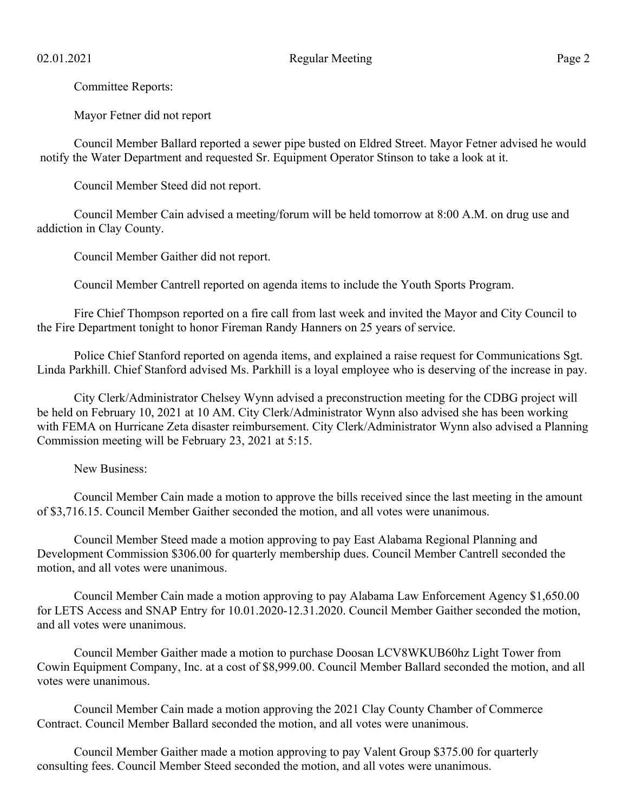Committee Reports:

Mayor Fetner did not report

Council Member Ballard reported a sewer pipe busted on Eldred Street. Mayor Fetner advised he would notify the Water Department and requested Sr. Equipment Operator Stinson to take a look at it.

Council Member Steed did not report.

Council Member Cain advised a meeting/forum will be held tomorrow at 8:00 A.M. on drug use and addiction in Clay County.

Council Member Gaither did not report.

Council Member Cantrell reported on agenda items to include the Youth Sports Program.

Fire Chief Thompson reported on a fire call from last week and invited the Mayor and City Council to the Fire Department tonight to honor Fireman Randy Hanners on 25 years of service.

Police Chief Stanford reported on agenda items, and explained a raise request for Communications Sgt. Linda Parkhill. Chief Stanford advised Ms. Parkhill is a loyal employee who is deserving of the increase in pay.

City Clerk/Administrator Chelsey Wynn advised a preconstruction meeting for the CDBG project will be held on February 10, 2021 at 10 AM. City Clerk/Administrator Wynn also advised she has been working with FEMA on Hurricane Zeta disaster reimbursement. City Clerk/Administrator Wynn also advised a Planning Commission meeting will be February 23, 2021 at 5:15.

New Business:

Council Member Cain made a motion to approve the bills received since the last meeting in the amount of \$3,716.15. Council Member Gaither seconded the motion, and all votes were unanimous.

Council Member Steed made a motion approving to pay East Alabama Regional Planning and Development Commission \$306.00 for quarterly membership dues. Council Member Cantrell seconded the motion, and all votes were unanimous.

Council Member Cain made a motion approving to pay Alabama Law Enforcement Agency \$1,650.00 for LETS Access and SNAP Entry for 10.01.2020-12.31.2020. Council Member Gaither seconded the motion, and all votes were unanimous.

Council Member Gaither made a motion to purchase Doosan LCV8WKUB60hz Light Tower from Cowin Equipment Company, Inc. at a cost of \$8,999.00. Council Member Ballard seconded the motion, and all votes were unanimous.

Council Member Cain made a motion approving the 2021 Clay County Chamber of Commerce Contract. Council Member Ballard seconded the motion, and all votes were unanimous.

Council Member Gaither made a motion approving to pay Valent Group \$375.00 for quarterly consulting fees. Council Member Steed seconded the motion, and all votes were unanimous.